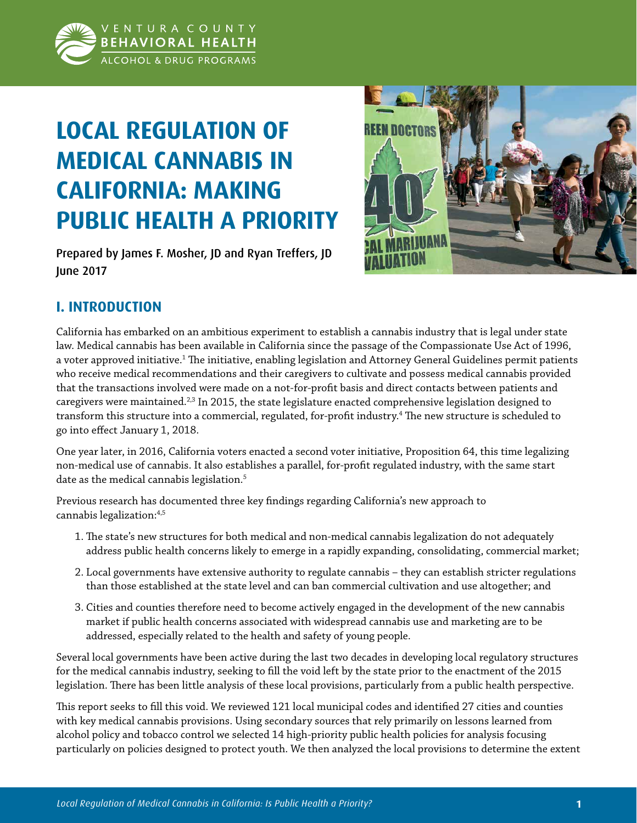

# **LOCAL REGULATION OF MEDICAL CANNABIS IN CALIFORNIA: MAKING PUBLIC HEALTH A PRIORITY**

Prepared by James F. Mosher, JD and Ryan Treffers, JD June 2017



# **I. INTRODUCTION**

California has embarked on an ambitious experiment to establish a cannabis industry that is legal under state law. Medical cannabis has been available in California since the passage of the Compassionate Use Act of 1996, a voter approved initiative.<sup>1</sup> The initiative, enabling legislation and Attorney General Guidelines permit patients who receive medical recommendations and their caregivers to cultivate and possess medical cannabis provided that the transactions involved were made on a not-for-profit basis and direct contacts between patients and caregivers were maintained.<sup>2,3</sup> In 2015, the state legislature enacted comprehensive legislation designed to transform this structure into a commercial, regulated, for-profit industry.<sup>4</sup> The new structure is scheduled to go into effect January 1, 2018.

One year later, in 2016, California voters enacted a second voter initiative, Proposition 64, this time legalizing non-medical use of cannabis. It also establishes a parallel, for-profit regulated industry, with the same start date as the medical cannabis legislation.<sup>5</sup>

Previous research has documented three key findings regarding California's new approach to cannabis legalization:4,5

- 1. The state's new structures for both medical and non-medical cannabis legalization do not adequately address public health concerns likely to emerge in a rapidly expanding, consolidating, commercial market;
- 2. Local governments have extensive authority to regulate cannabis they can establish stricter regulations than those established at the state level and can ban commercial cultivation and use altogether; and
- 3. Cities and counties therefore need to become actively engaged in the development of the new cannabis market if public health concerns associated with widespread cannabis use and marketing are to be addressed, especially related to the health and safety of young people.

Several local governments have been active during the last two decades in developing local regulatory structures for the medical cannabis industry, seeking to fill the void left by the state prior to the enactment of the 2015 legislation. There has been little analysis of these local provisions, particularly from a public health perspective.

This report seeks to fill this void. We reviewed 121 local municipal codes and identified 27 cities and counties with key medical cannabis provisions. Using secondary sources that rely primarily on lessons learned from alcohol policy and tobacco control we selected 14 high-priority public health policies for analysis focusing particularly on policies designed to protect youth. We then analyzed the local provisions to determine the extent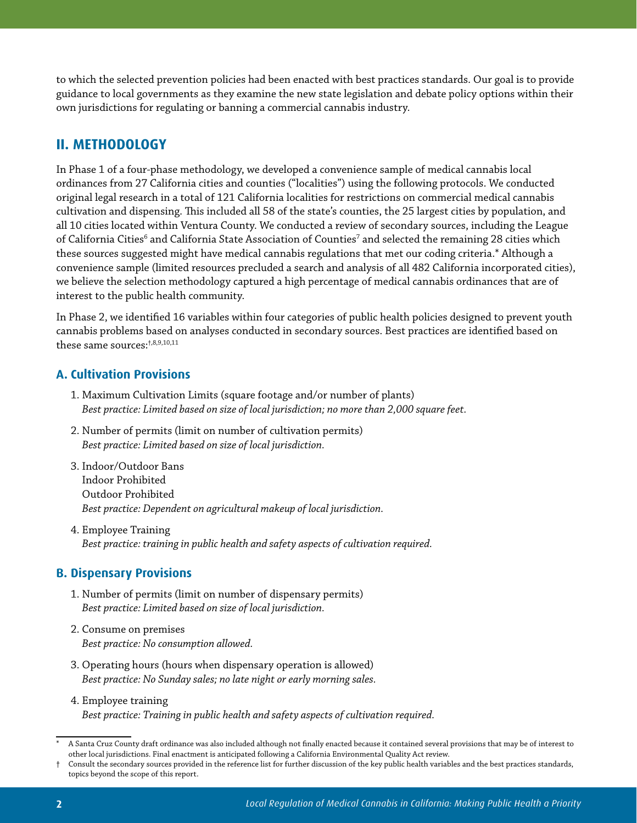to which the selected prevention policies had been enacted with best practices standards. Our goal is to provide guidance to local governments as they examine the new state legislation and debate policy options within their own jurisdictions for regulating or banning a commercial cannabis industry.

# **II. METHODOLOGY**

In Phase 1 of a four-phase methodology, we developed a convenience sample of medical cannabis local ordinances from 27 California cities and counties ("localities") using the following protocols. We conducted original legal research in a total of 121 California localities for restrictions on commercial medical cannabis cultivation and dispensing. This included all 58 of the state's counties, the 25 largest cities by population, and all 10 cities located within Ventura County. We conducted a review of secondary sources, including the League of California Cities $^6$  and California State Association of Counties $^7$  and selected the remaining 28 cities which these sources suggested might have medical cannabis regulations that met our coding criteria.\* Although a convenience sample (limited resources precluded a search and analysis of all 482 California incorporated cities), we believe the selection methodology captured a high percentage of medical cannabis ordinances that are of interest to the public health community.

In Phase 2, we identified 16 variables within four categories of public health policies designed to prevent youth cannabis problems based on analyses conducted in secondary sources. Best practices are identified based on these same sources:†,8,9,10,11

## **A. Cultivation Provisions**

- 1. Maximum Cultivation Limits (square footage and/or number of plants) *Best practice: Limited based on size of local jurisdiction; no more than 2,000 square feet.*
- 2. Number of permits (limit on number of cultivation permits) *Best practice: Limited based on size of local jurisdiction.*
- 3. Indoor/Outdoor Bans Indoor Prohibited Outdoor Prohibited *Best practice: Dependent on agricultural makeup of local jurisdiction.*
- 4. Employee Training *Best practice: training in public health and safety aspects of cultivation required.*

## **B. Dispensary Provisions**

- 1. Number of permits (limit on number of dispensary permits) *Best practice: Limited based on size of local jurisdiction.*
- 2. Consume on premises *Best practice: No consumption allowed.*
- 3. Operating hours (hours when dispensary operation is allowed) *Best practice: No Sunday sales; no late night or early morning sales.*
- 4. Employee training *Best practice: Training in public health and safety aspects of cultivation required.*

A Santa Cruz County draft ordinance was also included although not finally enacted because it contained several provisions that may be of interest to other local jurisdictions. Final enactment is anticipated following a California Environmental Quality Act review.

<sup>†</sup> Consult the secondary sources provided in the reference list for further discussion of the key public health variables and the best practices standards, topics beyond the scope of this report.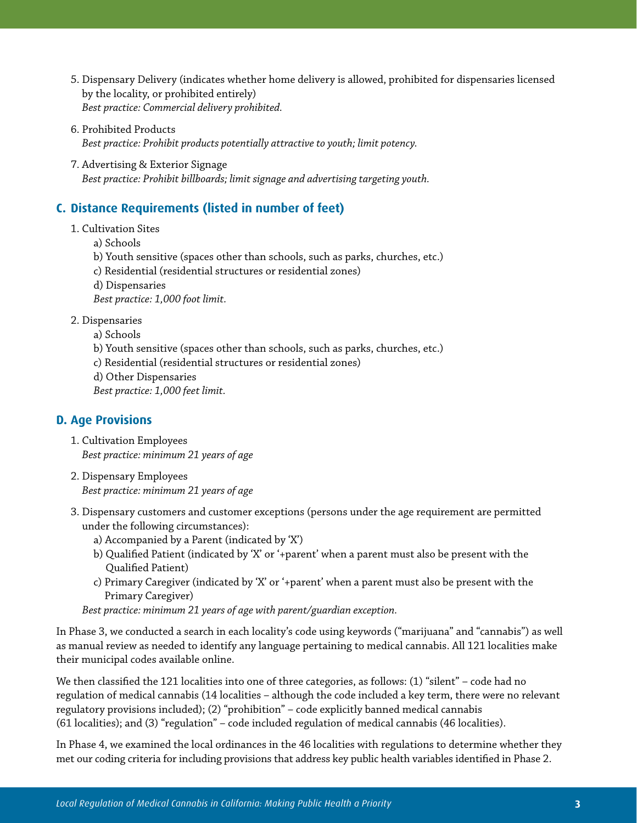- 5. Dispensary Delivery (indicates whether home delivery is allowed, prohibited for dispensaries licensed by the locality, or prohibited entirely) *Best practice: Commercial delivery prohibited.*
- 6. Prohibited Products *Best practice: Prohibit products potentially attractive to youth; limit potency.*
- 7. Advertising & Exterior Signage *Best practice: Prohibit billboards; limit signage and advertising targeting youth.*

# **C. Distance Requirements (listed in number of feet)**

- 1. Cultivation Sites
	- a) Schools
	- b) Youth sensitive (spaces other than schools, such as parks, churches, etc.)
	- c) Residential (residential structures or residential zones)
	- d) Dispensaries

 *Best practice: 1,000 foot limit.*

- 2. Dispensaries
	- a) Schools
	- b) Youth sensitive (spaces other than schools, such as parks, churches, etc.)
	- c) Residential (residential structures or residential zones)
	- d) Other Dispensaries

 *Best practice: 1,000 feet limit.*

## **D. Age Provisions**

- 1. Cultivation Employees *Best practice: minimum 21 years of age*
- 2. Dispensary Employees *Best practice: minimum 21 years of age*
- 3. Dispensary customers and customer exceptions (persons under the age requirement are permitted under the following circumstances):
	- a) Accompanied by a Parent (indicated by 'X')
	- b) Qualified Patient (indicated by 'X' or '+parent' when a parent must also be present with the Qualified Patient)
	- c) Primary Caregiver (indicated by 'X' or '+parent' when a parent must also be present with the Primary Caregiver)

*Best practice: minimum 21 years of age with parent/guardian exception.*

In Phase 3, we conducted a search in each locality's code using keywords ("marijuana" and "cannabis") as well as manual review as needed to identify any language pertaining to medical cannabis. All 121 localities make their municipal codes available online.

We then classified the 121 localities into one of three categories, as follows: (1) "silent" – code had no regulation of medical cannabis (14 localities – although the code included a key term, there were no relevant regulatory provisions included); (2) "prohibition" – code explicitly banned medical cannabis (61 localities); and (3) "regulation" – code included regulation of medical cannabis (46 localities).

In Phase 4, we examined the local ordinances in the 46 localities with regulations to determine whether they met our coding criteria for including provisions that address key public health variables identified in Phase 2.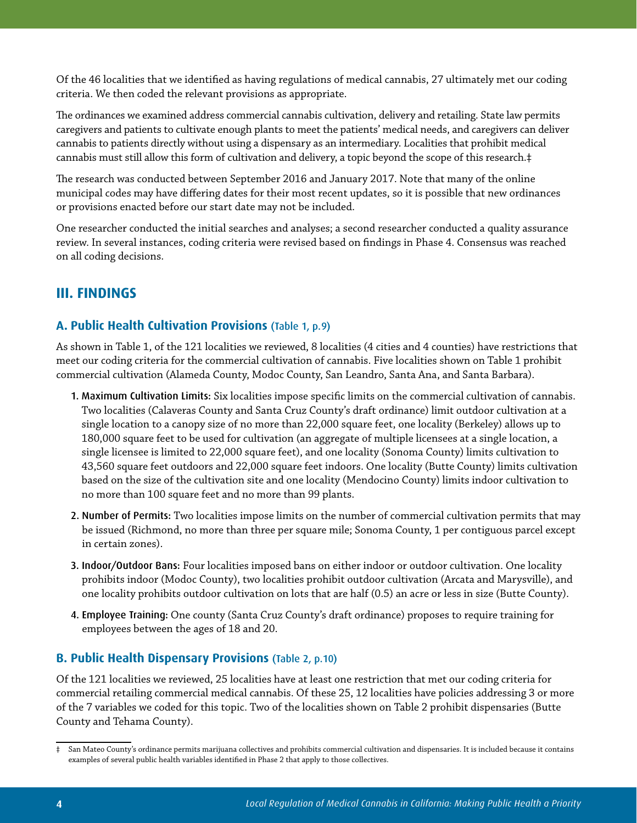Of the 46 localities that we identified as having regulations of medical cannabis, 27 ultimately met our coding criteria. We then coded the relevant provisions as appropriate.

The ordinances we examined address commercial cannabis cultivation, delivery and retailing. State law permits caregivers and patients to cultivate enough plants to meet the patients' medical needs, and caregivers can deliver cannabis to patients directly without using a dispensary as an intermediary. Localities that prohibit medical cannabis must still allow this form of cultivation and delivery, a topic beyond the scope of this research.‡

The research was conducted between September 2016 and January 2017. Note that many of the online municipal codes may have differing dates for their most recent updates, so it is possible that new ordinances or provisions enacted before our start date may not be included.

One researcher conducted the initial searches and analyses; a second researcher conducted a quality assurance review. In several instances, coding criteria were revised based on findings in Phase 4. Consensus was reached on all coding decisions.

# **III. FINDINGS**

#### **A. Public Health Cultivation Provisions** (Table 1, p.9)

As shown in Table 1, of the 121 localities we reviewed, 8 localities (4 cities and 4 counties) have restrictions that meet our coding criteria for the commercial cultivation of cannabis. Five localities shown on Table 1 prohibit commercial cultivation (Alameda County, Modoc County, San Leandro, Santa Ana, and Santa Barbara).

- 1. Maximum Cultivation Limits: Six localities impose specific limits on the commercial cultivation of cannabis. Two localities (Calaveras County and Santa Cruz County's draft ordinance) limit outdoor cultivation at a single location to a canopy size of no more than 22,000 square feet, one locality (Berkeley) allows up to 180,000 square feet to be used for cultivation (an aggregate of multiple licensees at a single location, a single licensee is limited to 22,000 square feet), and one locality (Sonoma County) limits cultivation to 43,560 square feet outdoors and 22,000 square feet indoors. One locality (Butte County) limits cultivation based on the size of the cultivation site and one locality (Mendocino County) limits indoor cultivation to no more than 100 square feet and no more than 99 plants.
- 2. Number of Permits: Two localities impose limits on the number of commercial cultivation permits that may be issued (Richmond, no more than three per square mile; Sonoma County, 1 per contiguous parcel except in certain zones).
- 3. Indoor/Outdoor Bans: Four localities imposed bans on either indoor or outdoor cultivation. One locality prohibits indoor (Modoc County), two localities prohibit outdoor cultivation (Arcata and Marysville), and one locality prohibits outdoor cultivation on lots that are half (0.5) an acre or less in size (Butte County).
- 4. Employee Training: One county (Santa Cruz County's draft ordinance) proposes to require training for employees between the ages of 18 and 20.

#### **B. Public Health Dispensary Provisions** (Table 2, p.10)

Of the 121 localities we reviewed, 25 localities have at least one restriction that met our coding criteria for commercial retailing commercial medical cannabis. Of these 25, 12 localities have policies addressing 3 or more of the 7 variables we coded for this topic. Two of the localities shown on Table 2 prohibit dispensaries (Butte County and Tehama County).

<sup>‡</sup> San Mateo County's ordinance permits marijuana collectives and prohibits commercial cultivation and dispensaries. It is included because it contains examples of several public health variables identified in Phase 2 that apply to those collectives.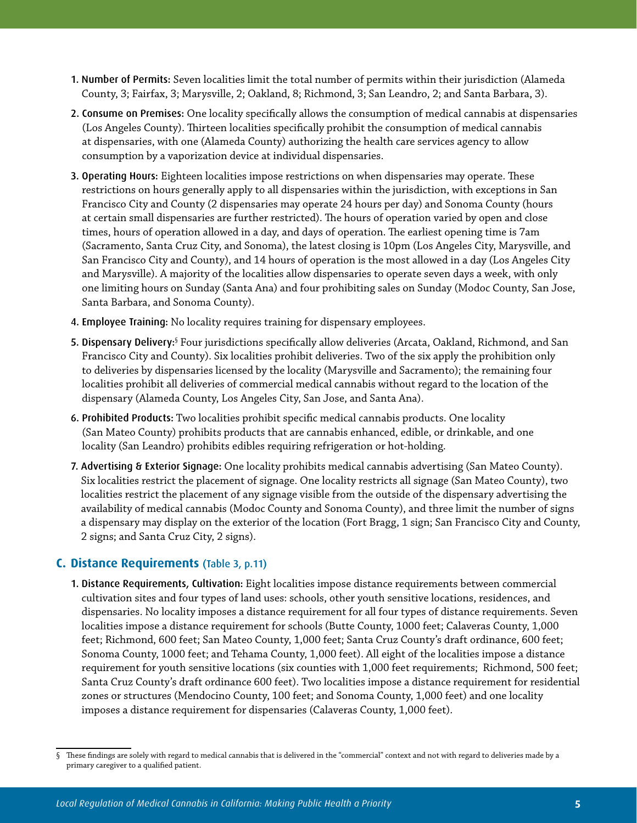- 1. Number of Permits: Seven localities limit the total number of permits within their jurisdiction (Alameda County, 3; Fairfax, 3; Marysville, 2; Oakland, 8; Richmond, 3; San Leandro, 2; and Santa Barbara, 3).
- 2. Consume on Premises: One locality specifically allows the consumption of medical cannabis at dispensaries (Los Angeles County). Thirteen localities specifically prohibit the consumption of medical cannabis at dispensaries, with one (Alameda County) authorizing the health care services agency to allow consumption by a vaporization device at individual dispensaries.
- 3. Operating Hours: Eighteen localities impose restrictions on when dispensaries may operate. These restrictions on hours generally apply to all dispensaries within the jurisdiction, with exceptions in San Francisco City and County (2 dispensaries may operate 24 hours per day) and Sonoma County (hours at certain small dispensaries are further restricted). The hours of operation varied by open and close times, hours of operation allowed in a day, and days of operation. The earliest opening time is 7am (Sacramento, Santa Cruz City, and Sonoma), the latest closing is 10pm (Los Angeles City, Marysville, and San Francisco City and County), and 14 hours of operation is the most allowed in a day (Los Angeles City and Marysville). A majority of the localities allow dispensaries to operate seven days a week, with only one limiting hours on Sunday (Santa Ana) and four prohibiting sales on Sunday (Modoc County, San Jose, Santa Barbara, and Sonoma County).
- 4. Employee Training: No locality requires training for dispensary employees.
- 5. Dispensary Delivery:§ Four jurisdictions specifically allow deliveries (Arcata, Oakland, Richmond, and San Francisco City and County). Six localities prohibit deliveries. Two of the six apply the prohibition only to deliveries by dispensaries licensed by the locality (Marysville and Sacramento); the remaining four localities prohibit all deliveries of commercial medical cannabis without regard to the location of the dispensary (Alameda County, Los Angeles City, San Jose, and Santa Ana).
- 6. Prohibited Products: Two localities prohibit specific medical cannabis products. One locality (San Mateo County) prohibits products that are cannabis enhanced, edible, or drinkable, and one locality (San Leandro) prohibits edibles requiring refrigeration or hot-holding.
- 7. Advertising & Exterior Signage: One locality prohibits medical cannabis advertising (San Mateo County). Six localities restrict the placement of signage. One locality restricts all signage (San Mateo County), two localities restrict the placement of any signage visible from the outside of the dispensary advertising the availability of medical cannabis (Modoc County and Sonoma County), and three limit the number of signs a dispensary may display on the exterior of the location (Fort Bragg, 1 sign; San Francisco City and County, 2 signs; and Santa Cruz City, 2 signs).

#### **C. Distance Requirements** (Table 3, p.11)

1. Distance Requirements, Cultivation: Eight localities impose distance requirements between commercial cultivation sites and four types of land uses: schools, other youth sensitive locations, residences, and dispensaries. No locality imposes a distance requirement for all four types of distance requirements. Seven localities impose a distance requirement for schools (Butte County, 1000 feet; Calaveras County, 1,000 feet; Richmond, 600 feet; San Mateo County, 1,000 feet; Santa Cruz County's draft ordinance, 600 feet; Sonoma County, 1000 feet; and Tehama County, 1,000 feet). All eight of the localities impose a distance requirement for youth sensitive locations (six counties with 1,000 feet requirements; Richmond, 500 feet; Santa Cruz County's draft ordinance 600 feet). Two localities impose a distance requirement for residential zones or structures (Mendocino County, 100 feet; and Sonoma County, 1,000 feet) and one locality imposes a distance requirement for dispensaries (Calaveras County, 1,000 feet).

<sup>§</sup> These findings are solely with regard to medical cannabis that is delivered in the "commercial" context and not with regard to deliveries made by a primary caregiver to a qualified patient.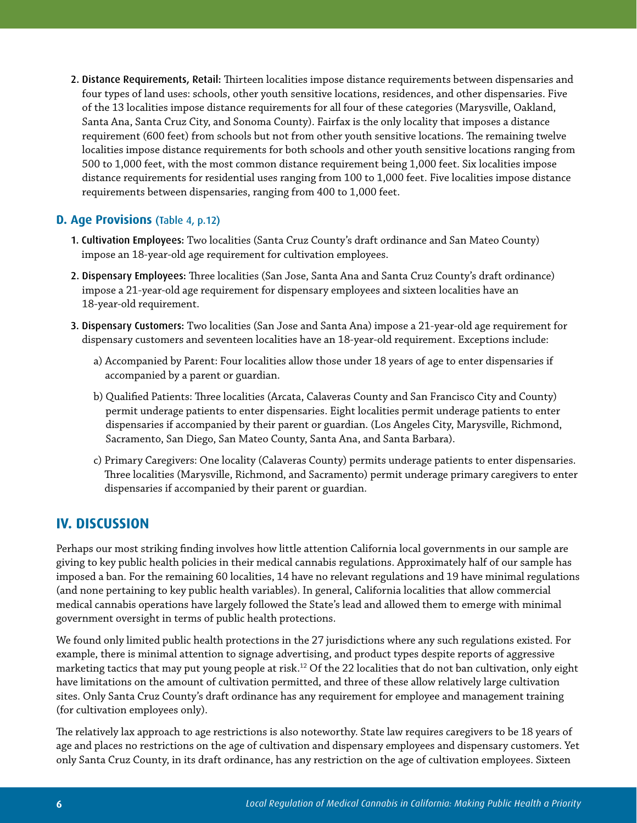2. Distance Requirements, Retail: Thirteen localities impose distance requirements between dispensaries and four types of land uses: schools, other youth sensitive locations, residences, and other dispensaries. Five of the 13 localities impose distance requirements for all four of these categories (Marysville, Oakland, Santa Ana, Santa Cruz City, and Sonoma County). Fairfax is the only locality that imposes a distance requirement (600 feet) from schools but not from other youth sensitive locations. The remaining twelve localities impose distance requirements for both schools and other youth sensitive locations ranging from 500 to 1,000 feet, with the most common distance requirement being 1,000 feet. Six localities impose distance requirements for residential uses ranging from 100 to 1,000 feet. Five localities impose distance requirements between dispensaries, ranging from 400 to 1,000 feet.

#### **D. Age Provisions** (Table 4, p.12)

- 1. Cultivation Employees: Two localities (Santa Cruz County's draft ordinance and San Mateo County) impose an 18-year-old age requirement for cultivation employees.
- 2. Dispensary Employees: Three localities (San Jose, Santa Ana and Santa Cruz County's draft ordinance) impose a 21-year-old age requirement for dispensary employees and sixteen localities have an 18-year-old requirement.
- 3. Dispensary Customers: Two localities (San Jose and Santa Ana) impose a 21-year-old age requirement for dispensary customers and seventeen localities have an 18-year-old requirement. Exceptions include:
	- a) Accompanied by Parent: Four localities allow those under 18 years of age to enter dispensaries if accompanied by a parent or guardian.
	- b) Qualified Patients: Three localities (Arcata, Calaveras County and San Francisco City and County) permit underage patients to enter dispensaries. Eight localities permit underage patients to enter dispensaries if accompanied by their parent or guardian. (Los Angeles City, Marysville, Richmond, Sacramento, San Diego, San Mateo County, Santa Ana, and Santa Barbara).
	- c) Primary Caregivers: One locality (Calaveras County) permits underage patients to enter dispensaries. Three localities (Marysville, Richmond, and Sacramento) permit underage primary caregivers to enter dispensaries if accompanied by their parent or guardian.

## **IV. DISCUSSION**

Perhaps our most striking finding involves how little attention California local governments in our sample are giving to key public health policies in their medical cannabis regulations. Approximately half of our sample has imposed a ban. For the remaining 60 localities, 14 have no relevant regulations and 19 have minimal regulations (and none pertaining to key public health variables). In general, California localities that allow commercial medical cannabis operations have largely followed the State's lead and allowed them to emerge with minimal government oversight in terms of public health protections.

We found only limited public health protections in the 27 jurisdictions where any such regulations existed. For example, there is minimal attention to signage advertising, and product types despite reports of aggressive marketing tactics that may put young people at risk.<sup>12</sup> Of the 22 localities that do not ban cultivation, only eight have limitations on the amount of cultivation permitted, and three of these allow relatively large cultivation sites. Only Santa Cruz County's draft ordinance has any requirement for employee and management training (for cultivation employees only).

The relatively lax approach to age restrictions is also noteworthy. State law requires caregivers to be 18 years of age and places no restrictions on the age of cultivation and dispensary employees and dispensary customers. Yet only Santa Cruz County, in its draft ordinance, has any restriction on the age of cultivation employees. Sixteen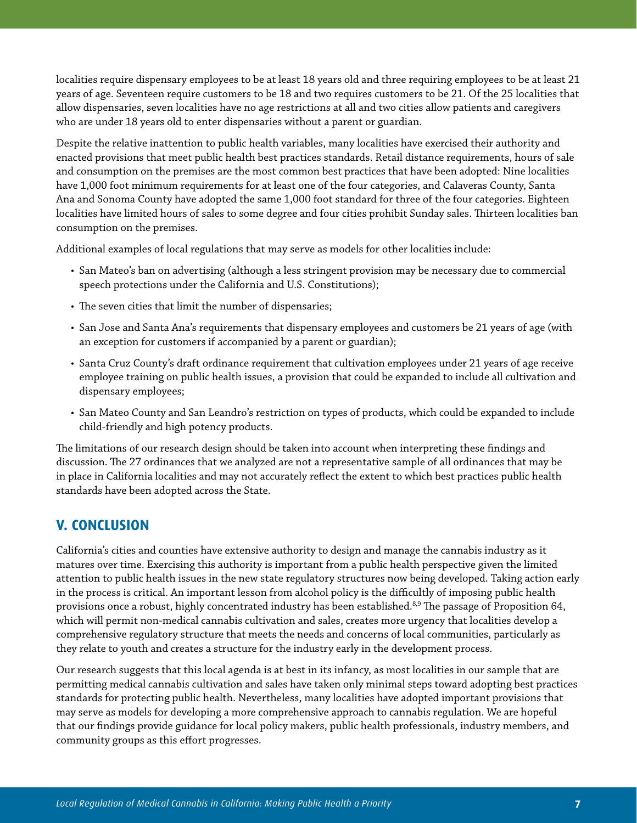localities require dispensary employees to be at least 18 years old and three requiring employees to be at least 21 years of age. Seventeen require customers to be 18 and two requires customers to be 21. Of the 25 localities that allow dispensaries, seven localities have no age restrictions at all and two cities allow patients and caregivers who are under 18 years old to enter dispensaries without a parent or guardian.

Despite the relative inattention to public health variables, many localities have exercised their authority and enacted provisions that meet public health best practices standards. Retail distance requirements, hours of sale and consumption on the premises are the most common best practices that have been adopted: Nine localities have 1,000 foot minimum requirements for at least one of the four categories, and Calaveras County, Santa Ana and Sonoma County have adopted the same 1,000 foot standard for three of the four categories. Eighteen localities have limited hours of sales to some degree and four cities prohibit Sunday sales. Thirteen localities ban consumption on the premises.

Additional examples of local regulations that may serve as models for other localities include:

- San Mateo's ban on advertising (although a less stringent provision may be necessary due to commercial speech protections under the California and U.S. Constitutions);
- The seven cities that limit the number of dispensaries;
- San Jose and Santa Ana's requirements that dispensary employees and customers be 21 years of age (with an exception for customers if accompanied by a parent or guardian);
- Santa Cruz County's draft ordinance requirement that cultivation employees under 21 years of age receive employee training on public health issues, a provision that could be expanded to include all cultivation and dispensary employees;
- San Mateo County and San Leandro's restriction on types of products, which could be expanded to include child-friendly and high potency products.

The limitations of our research design should be taken into account when interpreting these findings and discussion. The 27 ordinances that we analyzed are not a representative sample of all ordinances that may be in place in California localities and may not accurately reflect the extent to which best practices public health standards have been adopted across the State.

## **V. CONCLUSION**

California's cities and counties have extensive authority to design and manage the cannabis industry as it matures over time. Exercising this authority is important from a public health perspective given the limited attention to public health issues in the new state regulatory structures now being developed. Taking action early in the process is critical. An important lesson from alcohol policy is the difficultly of imposing public health provisions once a robust, highly concentrated industry has been established.<sup>8,9</sup> The passage of Proposition 64, which will permit non-medical cannabis cultivation and sales, creates more urgency that localities develop a comprehensive regulatory structure that meets the needs and concerns of local communities, particularly as they relate to youth and creates a structure for the industry early in the development process.

Our research suggests that this local agenda is at best in its infancy, as most localities in our sample that are permitting medical cannabis cultivation and sales have taken only minimal steps toward adopting best practices standards for protecting public health. Nevertheless, many localities have adopted important provisions that may serve as models for developing a more comprehensive approach to cannabis regulation. We are hopeful that our findings provide guidance for local policy makers, public health professionals, industry members, and community groups as this effort progresses.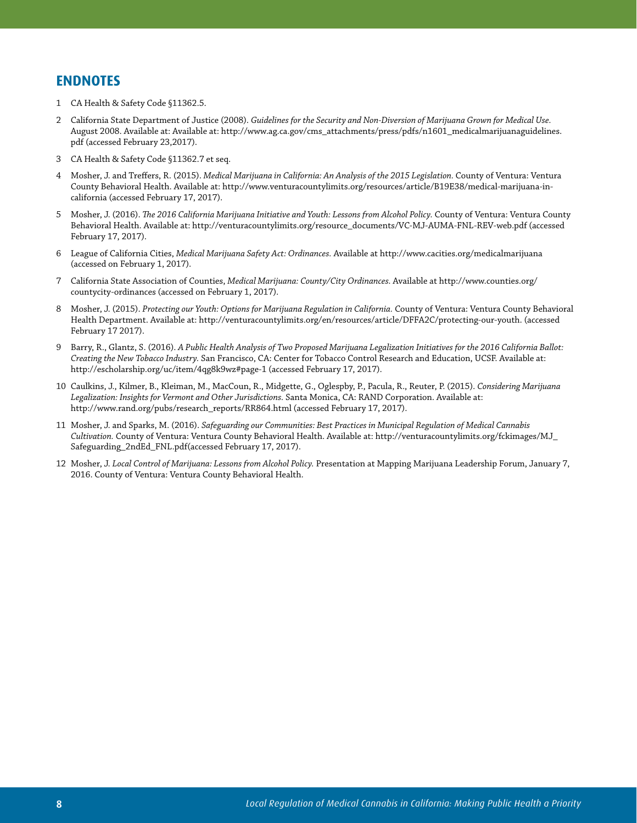## **ENDNOTES**

- 1 CA Health & Safety Code §11362.5.
- 2 California State Department of Justice (2008). *Guidelines for the Security and Non-Diversion of Marijuana Grown for Medical Use.* August 2008. Available at: Available at: http://www.ag.ca.gov/cms\_attachments/press/pdfs/n1601\_medicalmarijuanaguidelines. pdf (accessed February 23,2017).
- 3 CA Health & Safety Code §11362.7 et seq.
- 4 Mosher, J. and Treffers, R. (2015). *Medical Marijuana in California: An Analysis of the 2015 Legislation.* County of Ventura: Ventura County Behavioral Health. Available at: http://www.venturacountylimits.org/resources/article/B19E38/medical-marijuana-incalifornia (accessed February 17, 2017).
- 5 Mosher, J. (2016). *The 2016 California Marijuana Initiative and Youth: Lessons from Alcohol Policy.* County of Ventura: Ventura County Behavioral Health. Available at: http://venturacountylimits.org/resource\_documents/VC-MJ-AUMA-FNL-REV-web.pdf (accessed February 17, 2017).
- 6 League of California Cities, *Medical Marijuana Safety Act: Ordinances.* Available at http://www.cacities.org/medicalmarijuana (accessed on February 1, 2017).
- 7 California State Association of Counties, *Medical Marijuana: County/City Ordinances.* Available at http://www.counties.org/ countycity-ordinances (accessed on February 1, 2017).
- 8 Mosher, J. (2015). *Protecting our Youth: Options for Marijuana Regulation in California.* County of Ventura: Ventura County Behavioral Health Department. Available at: http://venturacountylimits.org/en/resources/article/DFFA2C/protecting-our-youth. (accessed February 17 2017).
- 9 Barry, R., Glantz, S. (2016). *A Public Health Analysis of Two Proposed Marijuana Legalization Initiatives for the 2016 California Ballot: Creating the New Tobacco Industry.* San Francisco, CA: Center for Tobacco Control Research and Education, UCSF. Available at: http://escholarship.org/uc/item/4qg8k9wz#page-1 (accessed February 17, 2017).
- 10 Caulkins, J., Kilmer, B., Kleiman, M., MacCoun, R., Midgette, G., Oglespby, P., Pacula, R., Reuter, P. (2015). *Considering Marijuana Legalization: Insights for Vermont and Other Jurisdictions.* Santa Monica, CA: RAND Corporation. Available at: http://www.rand.org/pubs/research\_reports/RR864.html (accessed February 17, 2017).
- 11 Mosher, J. and Sparks, M. (2016). *Safeguarding our Communities: Best Practices in Municipal Regulation of Medical Cannabis Cultivation.* County of Ventura: Ventura County Behavioral Health. Available at: http://venturacountylimits.org/fckimages/MJ\_ Safeguarding\_2ndEd\_FNL.pdf(accessed February 17, 2017).
- 12 Mosher, J. *Local Control of Marijuana: Lessons from Alcohol Policy.* Presentation at Mapping Marijuana Leadership Forum, January 7, 2016. County of Ventura: Ventura County Behavioral Health.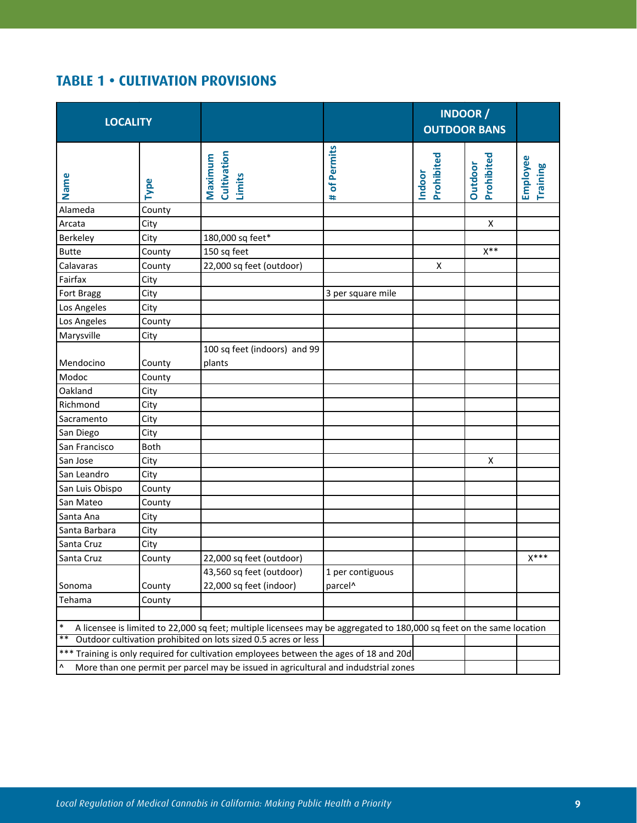# **TABLE 1 • CULTIVATION PROVISIONS**

| <b>LOCALITY</b>                                                                                                                 |                  |                                                                                        |                     | <b>INDOOR /</b><br><b>OUTDOOR BANS</b> |                              |                      |  |  |
|---------------------------------------------------------------------------------------------------------------------------------|------------------|----------------------------------------------------------------------------------------|---------------------|----------------------------------------|------------------------------|----------------------|--|--|
| Name                                                                                                                            | Type             | Cultivation<br>Maximum<br>Limits                                                       | of Permits<br>#     | Prohibited<br>Indoor                   | Prohibited<br><b>Outdoor</b> | Employee<br>Training |  |  |
| Alameda                                                                                                                         | County           |                                                                                        |                     |                                        |                              |                      |  |  |
| Arcata                                                                                                                          | City             |                                                                                        |                     |                                        | X                            |                      |  |  |
| Berkeley                                                                                                                        | City             | 180,000 sq feet*                                                                       |                     |                                        |                              |                      |  |  |
| <b>Butte</b>                                                                                                                    | County           | 150 sq feet                                                                            |                     |                                        | $X^{\ast\ast}$               |                      |  |  |
| Calavaras                                                                                                                       | County           | 22,000 sq feet (outdoor)                                                               |                     | X                                      |                              |                      |  |  |
| Fairfax                                                                                                                         | City             |                                                                                        |                     |                                        |                              |                      |  |  |
| <b>Fort Bragg</b>                                                                                                               | City             |                                                                                        | 3 per square mile   |                                        |                              |                      |  |  |
| Los Angeles                                                                                                                     | City             |                                                                                        |                     |                                        |                              |                      |  |  |
| Los Angeles                                                                                                                     | County           |                                                                                        |                     |                                        |                              |                      |  |  |
| Marysville                                                                                                                      | City             |                                                                                        |                     |                                        |                              |                      |  |  |
| Mendocino<br>Modoc                                                                                                              | County<br>County | 100 sq feet (indoors) and 99<br>plants                                                 |                     |                                        |                              |                      |  |  |
| Oakland                                                                                                                         | City             |                                                                                        |                     |                                        |                              |                      |  |  |
| Richmond                                                                                                                        | City             |                                                                                        |                     |                                        |                              |                      |  |  |
| Sacramento                                                                                                                      | City             |                                                                                        |                     |                                        |                              |                      |  |  |
| San Diego                                                                                                                       | City             |                                                                                        |                     |                                        |                              |                      |  |  |
| San Francisco                                                                                                                   | <b>Both</b>      |                                                                                        |                     |                                        |                              |                      |  |  |
| San Jose                                                                                                                        | City             |                                                                                        |                     |                                        | X                            |                      |  |  |
| San Leandro                                                                                                                     | City             |                                                                                        |                     |                                        |                              |                      |  |  |
| San Luis Obispo                                                                                                                 | County           |                                                                                        |                     |                                        |                              |                      |  |  |
| San Mateo                                                                                                                       | County           |                                                                                        |                     |                                        |                              |                      |  |  |
| Santa Ana                                                                                                                       | City             |                                                                                        |                     |                                        |                              |                      |  |  |
| Santa Barbara                                                                                                                   | City             |                                                                                        |                     |                                        |                              |                      |  |  |
| Santa Cruz                                                                                                                      | City             |                                                                                        |                     |                                        |                              |                      |  |  |
| Santa Cruz                                                                                                                      | County           | 22,000 sq feet (outdoor)                                                               |                     |                                        |                              | $X***$               |  |  |
|                                                                                                                                 |                  | 43,560 sq feet (outdoor)                                                               | 1 per contiguous    |                                        |                              |                      |  |  |
| Sonoma                                                                                                                          | County           | 22,000 sq feet (indoor)                                                                | parcel <sup>^</sup> |                                        |                              |                      |  |  |
| Tehama                                                                                                                          | County           |                                                                                        |                     |                                        |                              |                      |  |  |
|                                                                                                                                 |                  |                                                                                        |                     |                                        |                              |                      |  |  |
| $\ast$<br>A licensee is limited to 22,000 sq feet; multiple licensees may be aggregated to 180,000 sq feet on the same location |                  |                                                                                        |                     |                                        |                              |                      |  |  |
| $*$<br>Outdoor cultivation prohibited on lots sized 0.5 acres or less                                                           |                  |                                                                                        |                     |                                        |                              |                      |  |  |
|                                                                                                                                 |                  | *** Training is only required for cultivation employees between the ages of 18 and 20d |                     |                                        |                              |                      |  |  |
| Λ                                                                                                                               |                  | More than one permit per parcel may be issued in agricultural and indudstrial zones    |                     |                                        |                              |                      |  |  |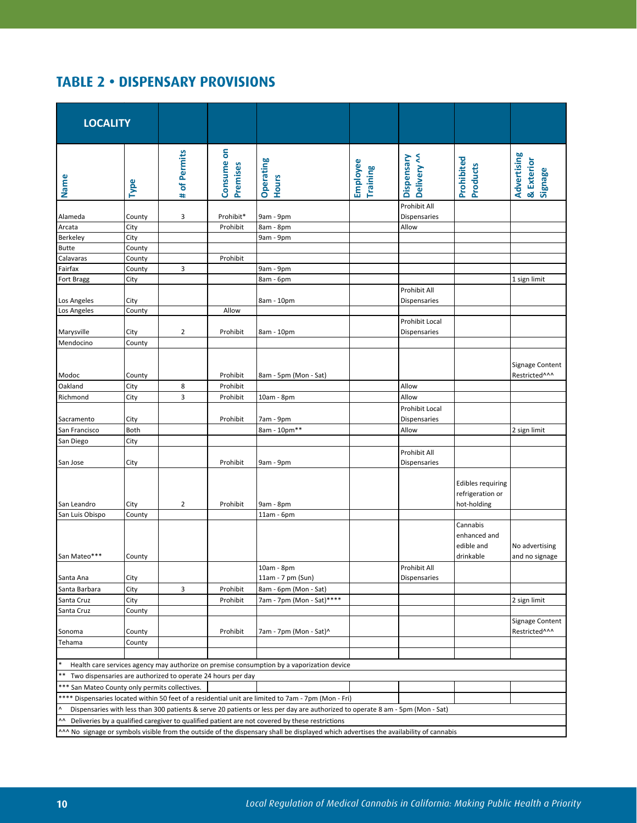# **TABLE 2 • DISPENSARY PROVISIONS**

| <b>LOCALITY</b>                                                                                                                                                                                                                            |        |                |                        |                                                                                                                               |                             |                                       |                                                             |                                              |  |
|--------------------------------------------------------------------------------------------------------------------------------------------------------------------------------------------------------------------------------------------|--------|----------------|------------------------|-------------------------------------------------------------------------------------------------------------------------------|-----------------------------|---------------------------------------|-------------------------------------------------------------|----------------------------------------------|--|
| Name                                                                                                                                                                                                                                       | Type   | # of Permits   | Consume on<br>Premises | Operating<br><b>Hours</b>                                                                                                     | Employee<br><b>Training</b> | Delivery ^^<br>Dispensary             | Prohibited<br><b>Products</b>                               | Advertising<br>& Exterior<br>Signage         |  |
| Alameda                                                                                                                                                                                                                                    | County | 3              | Prohibit*              | 9am - 9pm                                                                                                                     |                             | Prohibit All<br><b>Dispensaries</b>   |                                                             |                                              |  |
| Arcata                                                                                                                                                                                                                                     | City   |                | Prohibit               | 8am - 8pm                                                                                                                     |                             | Allow                                 |                                                             |                                              |  |
| Berkeley                                                                                                                                                                                                                                   | City   |                |                        | 9am - 9pm                                                                                                                     |                             |                                       |                                                             |                                              |  |
| <b>Butte</b>                                                                                                                                                                                                                               | County |                |                        |                                                                                                                               |                             |                                       |                                                             |                                              |  |
| Calavaras                                                                                                                                                                                                                                  | County |                | Prohibit               |                                                                                                                               |                             |                                       |                                                             |                                              |  |
| Fairfax                                                                                                                                                                                                                                    | County | 3              |                        | 9am - 9pm                                                                                                                     |                             |                                       |                                                             |                                              |  |
| Fort Bragg                                                                                                                                                                                                                                 | City   |                |                        | 8am - 6pm                                                                                                                     |                             |                                       |                                                             | 1 sign limit                                 |  |
| Los Angeles                                                                                                                                                                                                                                | City   |                |                        | 8am - 10pm                                                                                                                    |                             | Prohibit All<br><b>Dispensaries</b>   |                                                             |                                              |  |
| Los Angeles                                                                                                                                                                                                                                | County |                | Allow                  |                                                                                                                               |                             |                                       |                                                             |                                              |  |
| Marysville                                                                                                                                                                                                                                 | City   | $\overline{2}$ | Prohibit               | 8am - 10pm                                                                                                                    |                             | Prohibit Local<br><b>Dispensaries</b> |                                                             |                                              |  |
| Mendocino                                                                                                                                                                                                                                  | County |                |                        |                                                                                                                               |                             |                                       |                                                             |                                              |  |
| Modoc                                                                                                                                                                                                                                      | County |                | Prohibit               | 8am - 5pm (Mon - Sat)                                                                                                         |                             |                                       |                                                             | <b>Signage Content</b><br>Restricted^^^      |  |
| Oakland                                                                                                                                                                                                                                    | City   | 8              | Prohibit               |                                                                                                                               |                             | Allow                                 |                                                             |                                              |  |
| Richmond                                                                                                                                                                                                                                   | City   | 3              | Prohibit               | 10am - 8pm                                                                                                                    |                             | Allow                                 |                                                             |                                              |  |
| Sacramento                                                                                                                                                                                                                                 | City   |                | Prohibit               | 7am - 9pm                                                                                                                     |                             | Prohibit Local<br><b>Dispensaries</b> |                                                             |                                              |  |
| San Francisco                                                                                                                                                                                                                              | Both   |                |                        | 8am - 10pm**                                                                                                                  |                             | Allow                                 |                                                             | 2 sign limit                                 |  |
| San Diego                                                                                                                                                                                                                                  | City   |                |                        |                                                                                                                               |                             |                                       |                                                             |                                              |  |
| San Jose                                                                                                                                                                                                                                   | City   |                | Prohibit               | 9am - 9pm                                                                                                                     |                             | Prohibit All<br><b>Dispensaries</b>   |                                                             |                                              |  |
| San Leandro                                                                                                                                                                                                                                | City   | 2              | Prohibit               | 9am - 8pm                                                                                                                     |                             |                                       | <b>Edibles requiring</b><br>refrigeration or<br>hot-holding |                                              |  |
| San Luis Obispo                                                                                                                                                                                                                            | County |                |                        | $11am - 6pm$                                                                                                                  |                             |                                       |                                                             |                                              |  |
| San Mateo***                                                                                                                                                                                                                               | County |                |                        |                                                                                                                               |                             |                                       | Cannabis<br>enhanced and<br>edible and<br>drinkable         | No advertising<br>and no signage             |  |
|                                                                                                                                                                                                                                            |        |                |                        | 10am - 8pm                                                                                                                    |                             | Prohibit All                          |                                                             |                                              |  |
| Santa Ana                                                                                                                                                                                                                                  | City   |                |                        | 11am - 7 pm (Sun)                                                                                                             |                             | <b>Dispensaries</b>                   |                                                             |                                              |  |
| Santa Barbara                                                                                                                                                                                                                              | City   | 3              | Prohibit               | 8am - 6pm (Mon - Sat)                                                                                                         |                             |                                       |                                                             |                                              |  |
| Santa Cruz                                                                                                                                                                                                                                 | City   |                | Prohibit               | 7am - 7pm (Mon - Sat)****                                                                                                     |                             |                                       |                                                             | 2 sign limit                                 |  |
| Santa Cruz                                                                                                                                                                                                                                 | County |                |                        |                                                                                                                               |                             |                                       |                                                             |                                              |  |
| Sonoma                                                                                                                                                                                                                                     | County |                | Prohibit               | 7am - 7pm (Mon - Sat)^                                                                                                        |                             |                                       |                                                             | Signage Content<br>Restricted <sup>^^^</sup> |  |
| Tehama                                                                                                                                                                                                                                     | County |                |                        |                                                                                                                               |                             |                                       |                                                             |                                              |  |
|                                                                                                                                                                                                                                            |        |                |                        |                                                                                                                               |                             |                                       |                                                             |                                              |  |
| *<br>Health care services agency may authorize on premise consumption by a vaporization device                                                                                                                                             |        |                |                        |                                                                                                                               |                             |                                       |                                                             |                                              |  |
| ** Two dispensaries are authorized to operate 24 hours per day                                                                                                                                                                             |        |                |                        |                                                                                                                               |                             |                                       |                                                             |                                              |  |
| *** San Mateo County only permits collectives.                                                                                                                                                                                             |        |                |                        |                                                                                                                               |                             |                                       |                                                             |                                              |  |
| **** Dispensaries located within 50 feet of a residential unit are limited to 7am - 7pm (Mon - Fri)                                                                                                                                        |        |                |                        |                                                                                                                               |                             |                                       |                                                             |                                              |  |
| ٨                                                                                                                                                                                                                                          |        |                |                        | Dispensaries with less than 300 patients & serve 20 patients or less per day are authorized to operate 8 am - 5pm (Mon - Sat) |                             |                                       |                                                             |                                              |  |
| ^^ Deliveries by a qualified caregiver to qualified patient are not covered by these restrictions<br>^^^ No signage or symbols visible from the outside of the dispensary shall be displayed which advertises the availability of cannabis |        |                |                        |                                                                                                                               |                             |                                       |                                                             |                                              |  |
|                                                                                                                                                                                                                                            |        |                |                        |                                                                                                                               |                             |                                       |                                                             |                                              |  |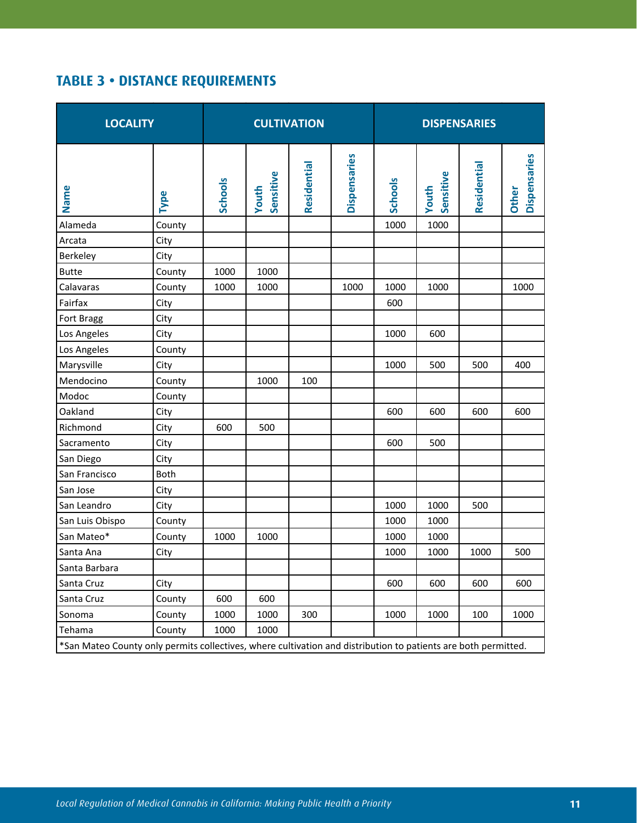# **TABLE 3 • DISTANCE REQUIREMENTS**

| <b>LOCALITY</b>                                                                                                |        | <b>CULTIVATION</b> |                    |             |              | <b>DISPENSARIES</b> |                           |             |                              |
|----------------------------------------------------------------------------------------------------------------|--------|--------------------|--------------------|-------------|--------------|---------------------|---------------------------|-------------|------------------------------|
| Name                                                                                                           | Type   | <b>Schools</b>     | Sensitive<br>Youth | Residential | Dispensaries | <b>Schools</b>      | Sensitive<br><b>Youth</b> | Residential | Dispensaries<br><b>Other</b> |
| Alameda                                                                                                        | County |                    |                    |             |              | 1000                | 1000                      |             |                              |
| Arcata                                                                                                         | City   |                    |                    |             |              |                     |                           |             |                              |
| Berkeley                                                                                                       | City   |                    |                    |             |              |                     |                           |             |                              |
| <b>Butte</b>                                                                                                   | County | 1000               | 1000               |             |              |                     |                           |             |                              |
| Calavaras                                                                                                      | County | 1000               | 1000               |             | 1000         | 1000                | 1000                      |             | 1000                         |
| Fairfax                                                                                                        | City   |                    |                    |             |              | 600                 |                           |             |                              |
| Fort Bragg                                                                                                     | City   |                    |                    |             |              |                     |                           |             |                              |
| Los Angeles                                                                                                    | City   |                    |                    |             |              | 1000                | 600                       |             |                              |
| Los Angeles                                                                                                    | County |                    |                    |             |              |                     |                           |             |                              |
| Marysville                                                                                                     | City   |                    |                    |             |              | 1000                | 500                       | 500         | 400                          |
| Mendocino                                                                                                      | County |                    | 1000               | 100         |              |                     |                           |             |                              |
| Modoc                                                                                                          | County |                    |                    |             |              |                     |                           |             |                              |
| Oakland                                                                                                        | City   |                    |                    |             |              | 600                 | 600                       | 600         | 600                          |
| Richmond                                                                                                       | City   | 600                | 500                |             |              |                     |                           |             |                              |
| Sacramento                                                                                                     | City   |                    |                    |             |              | 600                 | 500                       |             |                              |
| San Diego                                                                                                      | City   |                    |                    |             |              |                     |                           |             |                              |
| San Francisco                                                                                                  | Both   |                    |                    |             |              |                     |                           |             |                              |
| San Jose                                                                                                       | City   |                    |                    |             |              |                     |                           |             |                              |
| San Leandro                                                                                                    | City   |                    |                    |             |              | 1000                | 1000                      | 500         |                              |
| San Luis Obispo                                                                                                | County |                    |                    |             |              | 1000                | 1000                      |             |                              |
| San Mateo*                                                                                                     | County | 1000               | 1000               |             |              | 1000                | 1000                      |             |                              |
| Santa Ana                                                                                                      | City   |                    |                    |             |              | 1000                | 1000                      | 1000        | 500                          |
| Santa Barbara                                                                                                  |        |                    |                    |             |              |                     |                           |             |                              |
| Santa Cruz                                                                                                     | City   |                    |                    |             |              | 600                 | 600                       | 600         | 600                          |
| Santa Cruz                                                                                                     | County | 600                | 600                |             |              |                     |                           |             |                              |
| Sonoma                                                                                                         | County | 1000               | 1000               | 300         |              | 1000                | 1000                      | 100         | 1000                         |
| Tehama                                                                                                         | County | 1000               | 1000               |             |              |                     |                           |             |                              |
| *San Mateo County only permits collectives, where cultivation and distribution to patients are both permitted. |        |                    |                    |             |              |                     |                           |             |                              |